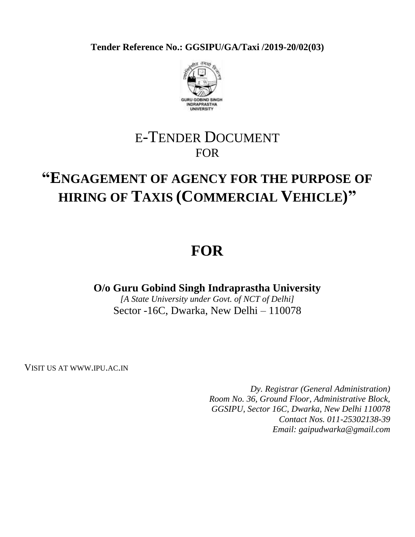**Tender Reference No.: GGSIPU/GA/Taxi /2019-20/02(03)**



# E-TENDER DOCUMENT FOR

# **"ENGAGEMENT OF AGENCY FOR THE PURPOSE OF HIRING OF TAXIS (COMMERCIAL VEHICLE)"**

# **FOR**

**O/o Guru Gobind Singh Indraprastha University**

*[A State University under Govt. of NCT of Delhi]* Sector -16C, Dwarka, New Delhi – 110078

VISIT US AT WWW.IPU.AC.IN

*Dy. Registrar (General Administration) Room No. 36, Ground Floor, Administrative Block, GGSIPU, Sector 16C, Dwarka, New Delhi 110078 Contact Nos. 011-25302138-39 Email: gaipudwarka@gmail.com*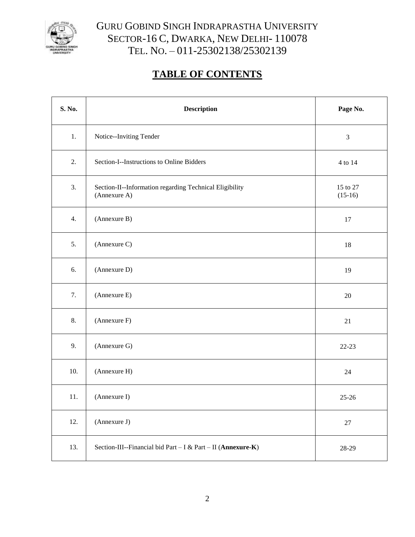

# GURU GOBIND SINGH INDRAPRASTHA UNIVERSITY SECTOR-16 C, DWARKA, NEW DELHI- 110078 TEL. NO. – 011-25302138/25302139

# **TABLE OF CONTENTS**

| S. No.   | <b>Description</b>                                                      | Page No.              |
|----------|-------------------------------------------------------------------------|-----------------------|
| 1.       | Notice--Inviting Tender                                                 | $\mathfrak{Z}$        |
| 2.       | Section-I--Instructions to Online Bidders                               | 4 to 14               |
| 3.       | Section-II--Information regarding Technical Eligibility<br>(Annexure A) | 15 to 27<br>$(15-16)$ |
| 4.       | (Annexure B)                                                            | 17                    |
| 5.       | (Annexure C)                                                            | 18                    |
| 6.       | (Annexure D)                                                            | 19                    |
| 7.       | (Annexure E)                                                            | 20                    |
| 8.       | (Annexure F)                                                            | $21\,$                |
| 9.       | (Annexure G)                                                            | $22 - 23$             |
| 10.      | (Annexure H)                                                            | 24                    |
| $11. \,$ | (Annexure I)                                                            | $25 - 26$             |
| 12.      | (Annexure J)                                                            | $27\,$                |
| 13.      | Section-III--Financial bid Part - I & Part - II (Annexure-K)            | 28-29                 |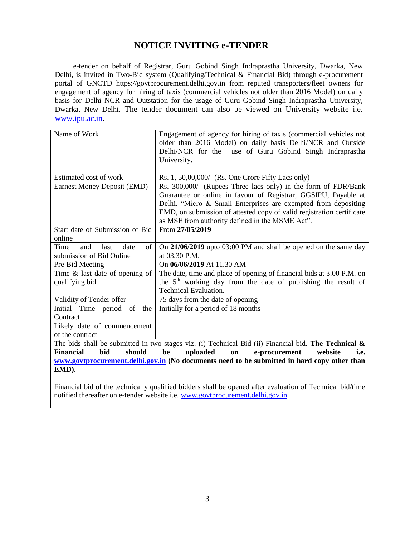# **NOTICE INVITING e-TENDER**

e-tender on behalf of Registrar, Guru Gobind Singh Indraprastha University, Dwarka, New Delhi, is invited in Two-Bid system (Qualifying/Technical & Financial Bid) through e-procurement portal of GNCTD https://govtprocurement.delhi.gov.in from reputed transporters/fleet owners for engagement of agency for hiring of taxis (commercial vehicles not older than 2016 Model) on daily basis for Delhi NCR and Outstation for the usage of Guru Gobind Singh Indraprastha University, Dwarka, New Delhi. The tender document can also be viewed on University website i.e. [www.ipu.ac.in.](http://www.ipu.ac.in/)

| Name of Work                       | Engagement of agency for hiring of taxis (commercial vehicles not<br>older than 2016 Model) on daily basis Delhi/NCR and Outside |  |  |
|------------------------------------|----------------------------------------------------------------------------------------------------------------------------------|--|--|
|                                    |                                                                                                                                  |  |  |
|                                    | Delhi/NCR for the use of Guru Gobind Singh Indraprastha                                                                          |  |  |
|                                    | University.                                                                                                                      |  |  |
| Estimated cost of work             |                                                                                                                                  |  |  |
|                                    | Rs. 1, 50,00,000/- (Rs. One Crore Fifty Lacs only)                                                                               |  |  |
| <b>Earnest Money Deposit (EMD)</b> | Rs. 300,000/- (Rupees Three lacs only) in the form of FDR/Bank                                                                   |  |  |
|                                    | Guarantee or online in favour of Registrar, GGSIPU, Payable at                                                                   |  |  |
|                                    | Delhi. "Micro & Small Enterprises are exempted from depositing                                                                   |  |  |
|                                    | EMD, on submission of attested copy of valid registration certificate                                                            |  |  |
|                                    | as MSE from authority defined in the MSME Act".                                                                                  |  |  |
| Start date of Submission of Bid    | From 27/05/2019                                                                                                                  |  |  |
| online                             |                                                                                                                                  |  |  |
| Time<br>of<br>and<br>last<br>date  | On 21/06/2019 upto 03:00 PM and shall be opened on the same day                                                                  |  |  |
| submission of Bid Online           | at 03.30 P.M.                                                                                                                    |  |  |
| Pre-Bid Meeting                    | On 06/06/2019 At 11.30 AM                                                                                                        |  |  |
| Time $\&$ last date of opening of  | The date, time and place of opening of financial bids at 3.00 P.M. on                                                            |  |  |
| qualifying bid                     | the $5th$ working day from the date of publishing the result of                                                                  |  |  |
|                                    | Technical Evaluation.                                                                                                            |  |  |
| Validity of Tender offer           | 75 days from the date of opening                                                                                                 |  |  |
| of the<br>Initial Time period      | Initially for a period of 18 months                                                                                              |  |  |
| Contract                           |                                                                                                                                  |  |  |
| Likely date of commencement        |                                                                                                                                  |  |  |
| of the contract                    |                                                                                                                                  |  |  |
|                                    | The bids shall be submitted in two stages viz. (i) Technical Bid (ii) Financial bid. The Technical $\&$                          |  |  |
| <b>Financial</b><br>bid<br>should  | uploaded<br>be<br>e-procurement<br>website<br>on<br>i.e.                                                                         |  |  |
|                                    | www.govtprocurement.delhi.gov.in (No documents need to be submitted in hard copy other than                                      |  |  |
| EMD).                              |                                                                                                                                  |  |  |

Financial bid of the technically qualified bidders shall be opened after evaluation of Technical bid/time notified thereafter on e-tender website i.e. [www.govtprocurement.delhi.gov.in](http://www.govtprocurement.delhi.gov.in/)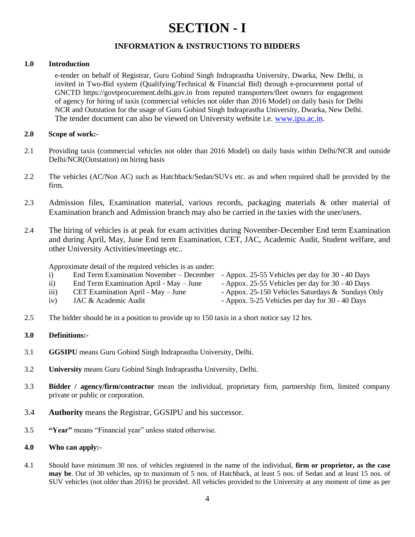# **SECTION - I**

# **INFORMATION & INSTRUCTIONS TO BIDDERS**

## **1.0 Introduction**

e-tender on behalf of Registrar, Guru Gobind Singh Indraprastha University, Dwarka, New Delhi, is invited in Two-Bid system (Qualifying/Technical & Financial Bid) through e-procurement portal of GNCTD https://govtprocurement.delhi.gov.in from reputed transporters/fleet owners for engagement of agency for hiring of taxis (commercial vehicles not older than 2016 Model) on daily basis for Delhi NCR and Outstation for the usage of Guru Gobind Singh Indraprastha University, Dwarka, New Delhi. The tender document can also be viewed on University website i.e. [www.ipu.ac.in.](http://www.ipu.ac.in/)

### **2.0 Scope of work:-**

- 2.1 Providing taxis (commercial vehicles not older than 2016 Model) on daily basis within Delhi/NCR and outside Delhi/NCR(Outstation) on hiring basis
- 2.2 The vehicles (AC/Non AC) such as Hatchback/Sedan/SUVs etc. as and when required shall be provided by the firm.
- 2.3 Admission files, Examination material, various records, packaging materials & other material of Examination branch and Admission branch may also be carried in the taxies with the user/users.
- 2.4 The hiring of vehicles is at peak for exam activities during November-December End term Examination and during April, May, June End term Examination, CET, JAC, Academic Audit, Student welfare, and other University Activities/meetings etc..

Approximate detail of the required vehicles is as under:

| $\mathbf{i}$     | End Term Examination November – December | - Appox. 25-55 Vehicles per day for 30 - 40 Days  |
|------------------|------------------------------------------|---------------------------------------------------|
| $\overline{ii}$  | End Term Examination April - May - June  | - Appox. 25-55 Vehicles per day for 30 - 40 Days  |
| $\overline{111}$ | CET Examination April - May - June       | - Appox. 25-150 Vehicles Saturdays & Sundays Only |
| iv)              | JAC & Academic Audit                     | - Appox. 5-25 Vehicles per day for 30 - 40 Days   |

2.5 The bidder should be in a position to provide up to 150 taxis in a short notice say 12 hrs.

### **3.0 Definitions:-**

- 3.1 **GGSIPU** means Guru Gobind Singh Indraprastha University, Delhi.
- 3.2 **University** means Guru Gobind Singh Indraprastha University, Delhi.
- 3.3 **Bidder / agency/firm/contractor** mean the individual, proprietary firm, partnership firm, limited company private or public or corporation.
- 3.4 **Authority** means the Registrar, GGSIPU and his successor.
- 3.5 **"Year"** means "Financial year" unless stated otherwise.

### **4.0 Who can apply:-**

4.1 Should have minimum 30 nos. of vehicles registered in the name of the individual, **firm or proprietor, as the case may be**. Out of 30 vehicles, up to maximum of 5 nos. of Hatchback, at least 5 nos. of Sedan and at least 15 nos. of SUV vehicles (not older than 2016) be provided. All vehicles provided to the University at any moment of time as per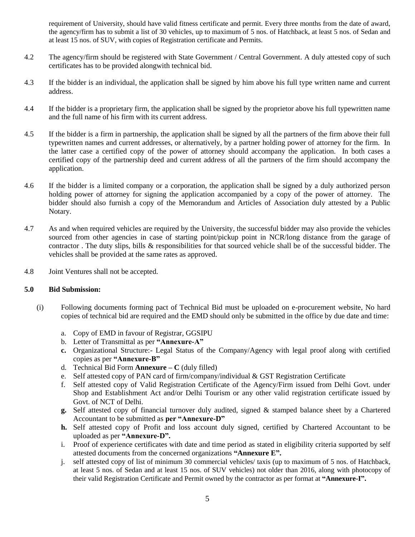requirement of University, should have valid fitness certificate and permit. Every three months from the date of award, the agency/firm has to submit a list of 30 vehicles, up to maximum of 5 nos. of Hatchback, at least 5 nos. of Sedan and at least 15 nos. of SUV, with copies of Registration certificate and Permits.

- 4.2 The agency/firm should be registered with State Government / Central Government. A duly attested copy of such certificates has to be provided alongwith technical bid.
- 4.3 If the bidder is an individual, the application shall be signed by him above his full type written name and current address.
- 4.4 If the bidder is a proprietary firm, the application shall be signed by the proprietor above his full typewritten name and the full name of his firm with its current address.
- 4.5 If the bidder is a firm in partnership, the application shall be signed by all the partners of the firm above their full typewritten names and current addresses, or alternatively, by a partner holding power of attorney for the firm. In the latter case a certified copy of the power of attorney should accompany the application. In both cases a certified copy of the partnership deed and current address of all the partners of the firm should accompany the application.
- 4.6 If the bidder is a limited company or a corporation, the application shall be signed by a duly authorized person holding power of attorney for signing the application accompanied by a copy of the power of attorney. The bidder should also furnish a copy of the Memorandum and Articles of Association duly attested by a Public Notary.
- 4.7 As and when required vehicles are required by the University, the successful bidder may also provide the vehicles sourced from other agencies in case of starting point/pickup point in NCR/long distance from the garage of contractor . The duty slips, bills & responsibilities for that sourced vehicle shall be of the successful bidder. The vehicles shall be provided at the same rates as approved.
- 4.8 Joint Ventures shall not be accepted.

### **5.0 Bid Submission:**

- (i) Following documents forming pact of Technical Bid must be uploaded on e-procurement website, No hard copies of technical bid are required and the EMD should only be submitted in the office by due date and time:
	- a. Copy of EMD in favour of Registrar, GGSIPU
	- b. Letter of Transmittal as per **"Annexure-A"**
	- **c.** Organizational Structure:- Legal Status of the Company/Agency with legal proof along with certified copies as per **"Annexure-B"**
	- d. Technical Bid Form  $\bf{Annexure} C$  (duly filled)
	- e. Self attested copy of PAN card of firm/company/individual & GST Registration Certificate
	- f. Self attested copy of Valid Registration Certificate of the Agency/Firm issued from Delhi Govt. under Shop and Establishment Act and/or Delhi Tourism or any other valid registration certificate issued by Govt. of NCT of Delhi.
	- **g.** Self attested copy of financial turnover duly audited, signed & stamped balance sheet by a Chartered Accountant to be submitted as **per "Annexure-D"**
	- **h.** Self attested copy of Profit and loss account duly signed, certified by Chartered Accountant to be uploaded as per **"Annexure-D".**
	- i. Proof of experience certificates with date and time period as stated in eligibility criteria supported by self attested documents from the concerned organizations **"Annexure E".**
	- j. self attested copy of list of minimum 30 commercial vehicles/ taxis (up to maximum of 5 nos. of Hatchback, at least 5 nos. of Sedan and at least 15 nos. of SUV vehicles) not older than 2016, along with photocopy of their valid Registration Certificate and Permit owned by the contractor as per format at **"Annexure-I".**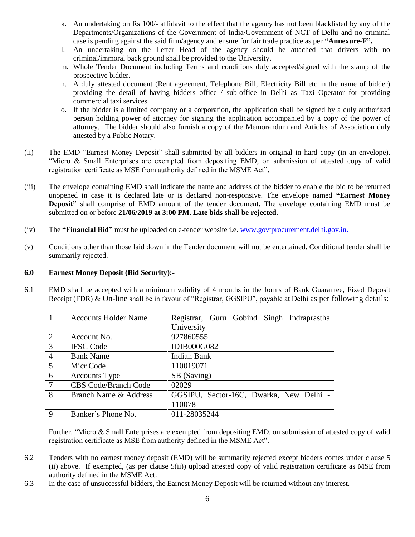- k. An undertaking on Rs 100/- affidavit to the effect that the agency has not been blacklisted by any of the Departments/Organizations of the Government of India/Government of NCT of Delhi and no criminal case is pending against the said firm/agency and ensure for fair trade practice as per **"Annexure-F".**
- l. An undertaking on the Letter Head of the agency should be attached that drivers with no criminal/immoral back ground shall be provided to the University.
- m. Whole Tender Document including Terms and conditions duly accepted/signed with the stamp of the prospective bidder.
- n. A duly attested document (Rent agreement, Telephone Bill, Electricity Bill etc in the name of bidder) providing the detail of having bidders office / sub-office in Delhi as Taxi Operator for providing commercial taxi services.
- o. If the bidder is a limited company or a corporation, the application shall be signed by a duly authorized person holding power of attorney for signing the application accompanied by a copy of the power of attorney. The bidder should also furnish a copy of the Memorandum and Articles of Association duly attested by a Public Notary.
- (ii) The EMD "Earnest Money Deposit" shall submitted by all bidders in original in hard copy (in an envelope). "Micro & Small Enterprises are exempted from depositing EMD, on submission of attested copy of valid registration certificate as MSE from authority defined in the MSME Act".
- (iii) The envelope containing EMD shall indicate the name and address of the bidder to enable the bid to be returned unopened in case it is declared late or is declared non-responsive. The envelope named **"Earnest Money Deposit"** shall comprise of EMD amount of the tender document. The envelope containing EMD must be submitted on or before **21/06/2019 at 3:00 PM. Late bids shall be rejected**.
- (iv) The **"Financial Bid"** must be uploaded on e-tender website i.e. [www.govtprocurement.delhi.gov.in.](http://www.govtprocurement.delhi.gov.in/)
- (v) Conditions other than those laid down in the Tender document will not be entertained. Conditional tender shall be summarily rejected.

### **6.0 Earnest Money Deposit (Bid Security):-**

6.1 EMD shall be accepted with a minimum validity of 4 months in the forms of Bank Guarantee, Fixed Deposit Receipt (FDR) & On-line shall be in favour of "Registrar, GGSIPU", payable at Delhi as per following details:

| $\mathbf{1}$    | <b>Accounts Holder Name</b> | Registrar, Guru Gobind Singh Indraprastha |
|-----------------|-----------------------------|-------------------------------------------|
|                 |                             | University                                |
| 2               | Account No.                 | 927860555                                 |
| $\overline{3}$  | <b>IFSC Code</b>            | <b>IDIB000G082</b>                        |
| $\overline{4}$  | <b>Bank Name</b>            | <b>Indian Bank</b>                        |
| $5\overline{)}$ | Micr Code                   | 110019071                                 |
| 6               | <b>Accounts Type</b>        | SB (Saving)                               |
| $\overline{7}$  | <b>CBS Code/Branch Code</b> | 02029                                     |
| $\overline{8}$  | Branch Name & Address       | GGSIPU, Sector-16C, Dwarka, New Delhi -   |
|                 |                             | 110078                                    |
| 9               | Banker's Phone No.          | 011-28035244                              |

Further, "Micro & Small Enterprises are exempted from depositing EMD, on submission of attested copy of valid registration certificate as MSE from authority defined in the MSME Act".

- 6.2 Tenders with no earnest money deposit (EMD) will be summarily rejected except bidders comes under clause 5 (ii) above. If exempted, (as per clause 5(ii)) upload attested copy of valid registration certificate as MSE from authority defined in the MSME Act.
- 6.3 In the case of unsuccessful bidders, the Earnest Money Deposit will be returned without any interest.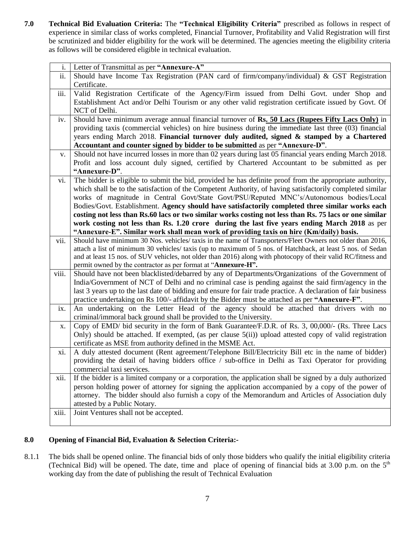**7.0 Technical Bid Evaluation Criteria:** The **"Technical Eligibility Criteria"** prescribed as follows in respect of experience in similar class of works completed, Financial Turnover, Profitability and Valid Registration will first be scrutinized and bidder eligibility for the work will be determined. The agencies meeting the eligibility criteria as follows will be considered eligible in technical evaluation.

| i.    | Letter of Transmittal as per "Annexure-A"                                                                      |
|-------|----------------------------------------------------------------------------------------------------------------|
| ii.   | Should have Income Tax Registration (PAN card of firm/company/individual) & GST Registration                   |
|       | Certificate.                                                                                                   |
| iii.  | Valid Registration Certificate of the Agency/Firm issued from Delhi Govt. under Shop and                       |
|       | Establishment Act and/or Delhi Tourism or any other valid registration certificate issued by Govt. Of          |
|       | NCT of Delhi.                                                                                                  |
| iv.   | Should have minimum average annual financial turnover of Rs. 50 Lacs (Rupees Fifty Lacs Only) in               |
|       | providing taxis (commercial vehicles) on hire business during the immediate last three (03) financial          |
|       | years ending March 2018. Financial turnover duly audited, signed & stamped by a Chartered                      |
|       | Accountant and counter signed by bidder to be submitted as per "Annexure-D".                                   |
| v.    | Should not have incurred losses in more than 02 years during last 05 financial years ending March 2018.        |
|       | Profit and loss account duly signed, certified by Chartered Accountant to be submitted as per                  |
|       | "Annexure-D".                                                                                                  |
|       | The bidder is eligible to submit the bid, provided he has definite proof from the appropriate authority,       |
| vi.   |                                                                                                                |
|       | which shall be to the satisfaction of the Competent Authority, of having satisfactorily completed similar      |
|       | works of magnitude in Central Govt/State Govt/PSU/Reputed MNC's/Autonomous bodies/Local                        |
|       | Bodies/Govt. Establishment. Agency should have satisfactorily completed three similar works each               |
|       | costing not less than Rs.60 lacs or two similar works costing not less than Rs. 75 lacs or one similar         |
|       | work costing not less than Rs. 1.20 crore during the last five years ending March 2018 as per                  |
|       | "Annexure-E". Similar work shall mean work of providing taxis on hire (Km/daily) basis.                        |
| vii.  | Should have minimum 30 Nos. vehicles/ taxis in the name of Transporters/Fleet Owners not older than 2016,      |
|       | attach a list of minimum 30 vehicles/ taxis (up to maximum of 5 nos. of Hatchback, at least 5 nos. of Sedan    |
|       | and at least 15 nos. of SUV vehicles, not older than 2016) along with photocopy of their valid RC/fitness and  |
|       | permit owned by the contractor as per format at "Annexure-H".                                                  |
| viii. | Should have not been blacklisted/debarred by any of Departments/Organizations of the Government of             |
|       | India/Government of NCT of Delhi and no criminal case is pending against the said firm/agency in the           |
|       | last 3 years up to the last date of bidding and ensure for fair trade practice. A declaration of fair business |
|       | practice undertaking on Rs 100/- affidavit by the Bidder must be attached as per "Annexure-F".                 |
| ix.   | An undertaking on the Letter Head of the agency should be attached that drivers with no                        |
|       | criminal/immoral back ground shall be provided to the University.                                              |
| X.    | Copy of EMD/ bid security in the form of Bank Guarantee/F.D.R. of Rs. 3, 00,000/- (Rs. Three Lacs              |
|       | Only) should be attached. If exempted, (as per clause 5(ii)) upload attested copy of valid registration        |
|       | certificate as MSE from authority defined in the MSME Act.                                                     |
| xi.   | A duly attested document (Rent agreement/Telephone Bill/Electricity Bill etc in the name of bidder)            |
|       | providing the detail of having bidders office / sub-office in Delhi as Taxi Operator for providing             |
|       | commercial taxi services.                                                                                      |
| xii.  | If the bidder is a limited company or a corporation, the application shall be signed by a duly authorized      |
|       | person holding power of attorney for signing the application accompanied by a copy of the power of             |
|       | attorney. The bidder should also furnish a copy of the Memorandum and Articles of Association duly             |
|       | attested by a Public Notary.                                                                                   |
| xiii. | Joint Ventures shall not be accepted.                                                                          |
|       |                                                                                                                |

# **8.0 Opening of Financial Bid, Evaluation & Selection Criteria:-**

8.1.1 The bids shall be opened online. The financial bids of only those bidders who qualify the initial eligibility criteria (Technical Bid) will be opened. The date, time and place of opening of financial bids at 3.00 p.m. on the  $5<sup>th</sup>$ working day from the date of publishing the result of Technical Evaluation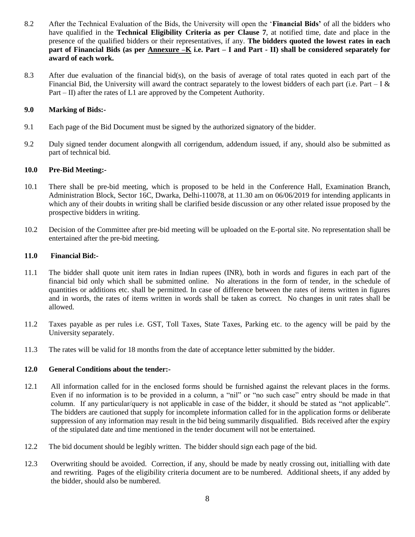- 8.2 After the Technical Evaluation of the Bids, the University will open the "**Financial Bids'** of all the bidders who have qualified in the **Technical Eligibility Criteria as per Clause 7**, at notified time, date and place in the presence of the qualified bidders or their representatives, if any. **The bidders quoted the lowest rates in each part of Financial Bids (as per Annexure –K i.e. Part – I and Part - II) shall be considered separately for award of each work.**
- 8.3 After due evaluation of the financial bid(s), on the basis of average of total rates quoted in each part of the Financial Bid, the University will award the contract separately to the lowest bidders of each part (i.e. Part – I  $\&$ Part – II) after the rates of L1 are approved by the Competent Authority.

## **9.0 Marking of Bids:-**

- 9.1 Each page of the Bid Document must be signed by the authorized signatory of the bidder.
- 9.2 Duly signed tender document alongwith all corrigendum, addendum issued, if any, should also be submitted as part of technical bid.

## **10.0 Pre-Bid Meeting:-**

- 10.1 There shall be pre-bid meeting, which is proposed to be held in the Conference Hall, Examination Branch, Administration Block, Sector 16C, Dwarka, Delhi-110078, at 11.30 am on 06/06/2019 for intending applicants in which any of their doubts in writing shall be clarified beside discussion or any other related issue proposed by the prospective bidders in writing.
- 10.2 Decision of the Committee after pre-bid meeting will be uploaded on the E-portal site. No representation shall be entertained after the pre-bid meeting.

### **11.0 Financial Bid:-**

- 11.1 The bidder shall quote unit item rates in Indian rupees (INR), both in words and figures in each part of the financial bid only which shall be submitted online. No alterations in the form of tender, in the schedule of quantities or additions etc. shall be permitted. In case of difference between the rates of items written in figures and in words, the rates of items written in words shall be taken as correct. No changes in unit rates shall be allowed.
- 11.2 Taxes payable as per rules i.e. GST, Toll Taxes, State Taxes, Parking etc. to the agency will be paid by the University separately.
- 11.3 The rates will be valid for 18 months from the date of acceptance letter submitted by the bidder.

### **12.0 General Conditions about the tender:-**

- 12.1 All information called for in the enclosed forms should be furnished against the relevant places in the forms. Even if no information is to be provided in a column, a "nil" or "no such case" entry should be made in that column. If any particular/query is not applicable in case of the bidder, it should be stated as "not applicable". The bidders are cautioned that supply for incomplete information called for in the application forms or deliberate suppression of any information may result in the bid being summarily disqualified. Bids received after the expiry of the stipulated date and time mentioned in the tender document will not be entertained.
- 12.2 The bid document should be legibly written. The bidder should sign each page of the bid.
- 12.3 Overwriting should be avoided. Correction, if any, should be made by neatly crossing out, initialling with date and rewriting. Pages of the eligibility criteria document are to be numbered. Additional sheets, if any added by the bidder, should also be numbered.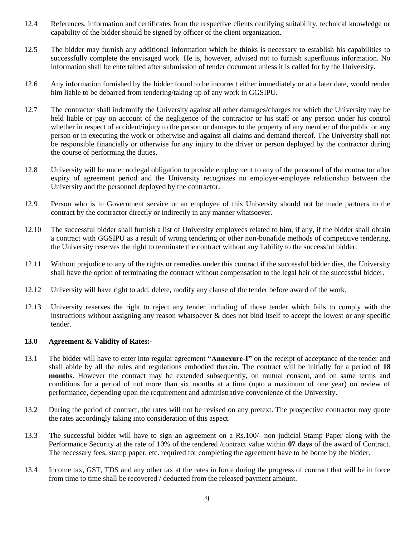- 12.4 References, information and certificates from the respective clients certifying suitability, technical knowledge or capability of the bidder should be signed by officer of the client organization.
- 12.5 The bidder may furnish any additional information which he thinks is necessary to establish his capabilities to successfully complete the envisaged work. He is, however, advised not to furnish superfluous information. No information shall be entertained after submission of tender document unless it is called for by the University.
- 12.6 Any information furnished by the bidder found to be incorrect either immediately or at a later date, would render him liable to be debarred from tendering/taking up of any work in GGSIPU.
- 12.7 The contractor shall indemnify the University against all other damages/charges for which the University may be held liable or pay on account of the negligence of the contractor or his staff or any person under his control whether in respect of accident/injury to the person or damages to the property of any member of the public or any person or in executing the work or otherwise and against all claims and demand thereof. The University shall not be responsible financially or otherwise for any injury to the driver or person deployed by the contractor during the course of performing the duties.
- 12.8 University will be under no legal obligation to provide employment to any of the personnel of the contractor after expiry of agreement period and the University recognizes no employer-employee relationship between the University and the personnel deployed by the contractor.
- 12.9 Person who is in Government service or an employee of this University should not be made partners to the contract by the contractor directly or indirectly in any manner whatsoever.
- 12.10 The successful bidder shall furnish a list of University employees related to him, if any, if the bidder shall obtain a contract with GGSIPU as a result of wrong tendering or other non-bonafide methods of competitive tendering, the University reserves the right to terminate the contract without any liability to the successful bidder.
- 12.11 Without prejudice to any of the rights or remedies under this contract if the successful bidder dies, the University shall have the option of terminating the contract without compensation to the legal heir of the successful bidder.
- 12.12 University will have right to add, delete, modify any clause of the tender before award of the work.
- 12.13 University reserves the right to reject any tender including of those tender which fails to comply with the instructions without assigning any reason whatsoever & does not bind itself to accept the lowest or any specific tender.

### **13.0 Agreement & Validity of Rates:-**

- 13.1 The bidder will have to enter into regular agreement **"Annexure-I"** on the receipt of acceptance of the tender and shall abide by all the rules and regulations embodied therein. The contract will be initially for a period of **18 months**. However the contract may be extended subsequently, on mutual consent, and on same terms and conditions for a period of not more than six months at a time (upto a maximum of one year) on review of performance, depending upon the requirement and administrative convenience of the University.
- 13.2 During the period of contract, the rates will not be revised on any pretext. The prospective contractor may quote the rates accordingly taking into consideration of this aspect.
- 13.3 The successful bidder will have to sign an agreement on a Rs.100/- non judicial Stamp Paper along with the Performance Security at the rate of 10% of the tendered /contract value within **07 days** of the award of Contract. The necessary fees, stamp paper, etc. required for completing the agreement have to be borne by the bidder.
- 13.4 Income tax, GST, TDS and any other tax at the rates in force during the progress of contract that will be in force from time to time shall be recovered / deducted from the released payment amount.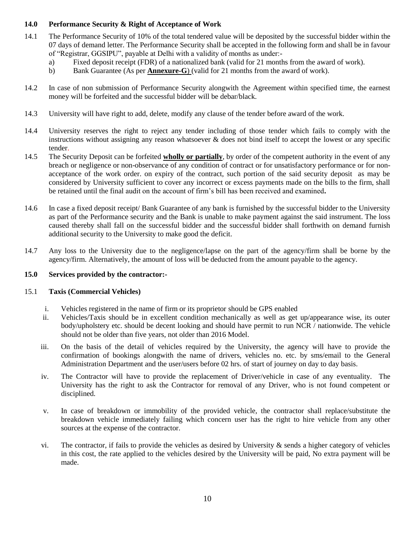## **14.0 Performance Security & Right of Acceptance of Work**

- 14.1 The Performance Security of 10% of the total tendered value will be deposited by the successful bidder within the 07 days of demand letter. The Performance Security shall be accepted in the following form and shall be in favour of "Registrar, GGSIPU", payable at Delhi with a validity of months as under:
	- a) Fixed deposit receipt (FDR) of a nationalized bank (valid for 21 months from the award of work).
	- b) Bank Guarantee (As per **Annexure-G**) (valid for 21 months from the award of work).
- 14.2 In case of non submission of Performance Security alongwith the Agreement within specified time, the earnest money will be forfeited and the successful bidder will be debar/black.
- 14.3 University will have right to add, delete, modify any clause of the tender before award of the work.
- 14.4 University reserves the right to reject any tender including of those tender which fails to comply with the instructions without assigning any reason whatsoever & does not bind itself to accept the lowest or any specific tender.
- 14.5 The Security Deposit can be forfeited **wholly or partially**, by order of the competent authority in the event of any breach or negligence or non-observance of any condition of contract or for unsatisfactory performance or for nonacceptance of the work order. on expiry of the contract, such portion of the said security deposit as may be considered by University sufficient to cover any incorrect or excess payments made on the bills to the firm, shall be retained until the final audit on the account of firm"s bill has been received and examined**.**
- 14.6 In case a fixed deposit receipt/ Bank Guarantee of any bank is furnished by the successful bidder to the University as part of the Performance security and the Bank is unable to make payment against the said instrument. The loss caused thereby shall fall on the successful bidder and the successful bidder shall forthwith on demand furnish additional security to the University to make good the deficit.
- 14.7 Any loss to the University due to the negligence/lapse on the part of the agency/firm shall be borne by the agency/firm. Alternatively, the amount of loss will be deducted from the amount payable to the agency.

### **15.0 Services provided by the contractor:-**

### 15.1 **Taxis (Commercial Vehicles)**

- i. Vehicles registered in the name of firm or its proprietor should be GPS enabled
- ii. Vehicles/Taxis should be in excellent condition mechanically as well as get up/appearance wise, its outer body/upholstery etc. should be decent looking and should have permit to run NCR / nationwide. The vehicle should not be older than five years, not older than 2016 Model.
- iii. On the basis of the detail of vehicles required by the University, the agency will have to provide the confirmation of bookings alongwith the name of drivers, vehicles no. etc. by sms/email to the General Administration Department and the user/users before 02 hrs. of start of journey on day to day basis.
- iv. The Contractor will have to provide the replacement of Driver/vehicle in case of any eventuality. The University has the right to ask the Contractor for removal of any Driver, who is not found competent or disciplined.
- v. In case of breakdown or immobility of the provided vehicle, the contractor shall replace/substitute the breakdown vehicle immediately failing which concern user has the right to hire vehicle from any other sources at the expense of the contractor.
- vi. The contractor, if fails to provide the vehicles as desired by University  $\&$  sends a higher category of vehicles in this cost, the rate applied to the vehicles desired by the University will be paid, No extra payment will be made.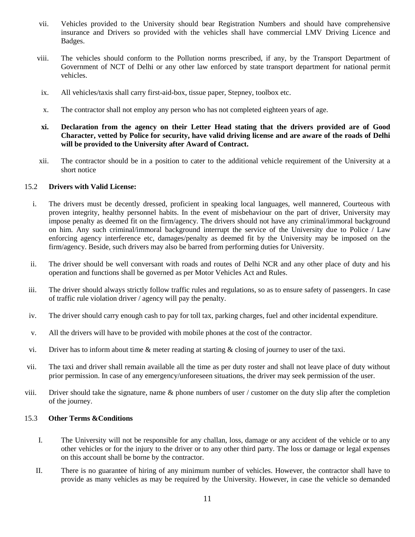- vii. Vehicles provided to the University should bear Registration Numbers and should have comprehensive insurance and Drivers so provided with the vehicles shall have commercial LMV Driving Licence and Badges.
- viii. The vehicles should conform to the Pollution norms prescribed, if any, by the Transport Department of Government of NCT of Delhi or any other law enforced by state transport department for national permit vehicles.
- ix. All vehicles/taxis shall carry first-aid-box, tissue paper, Stepney, toolbox etc.
- x. The contractor shall not employ any person who has not completed eighteen years of age.
- **xi. Declaration from the agency on their Letter Head stating that the drivers provided are of Good Character, vetted by Police for security, have valid driving license and are aware of the roads of Delhi will be provided to the University after Award of Contract.**
- xii. The contractor should be in a position to cater to the additional vehicle requirement of the University at a short notice

#### 15.2 **Drivers with Valid License:**

- i. The drivers must be decently dressed, proficient in speaking local languages, well mannered, Courteous with proven integrity, healthy personnel habits. In the event of misbehaviour on the part of driver, University may impose penalty as deemed fit on the firm/agency. The drivers should not have any criminal/immoral background on him. Any such criminal/immoral background interrupt the service of the University due to Police / Law enforcing agency interference etc, damages/penalty as deemed fit by the University may be imposed on the firm/agency. Beside, such drivers may also be barred from performing duties for University.
- ii. The driver should be well conversant with roads and routes of Delhi NCR and any other place of duty and his operation and functions shall be governed as per Motor Vehicles Act and Rules.
- iii. The driver should always strictly follow traffic rules and regulations, so as to ensure safety of passengers. In case of traffic rule violation driver / agency will pay the penalty.
- iv. The driver should carry enough cash to pay for toll tax, parking charges, fuel and other incidental expenditure.
- v. All the drivers will have to be provided with mobile phones at the cost of the contractor.
- vi. Driver has to inform about time & meter reading at starting & closing of journey to user of the taxi.
- vii. The taxi and driver shall remain available all the time as per duty roster and shall not leave place of duty without prior permission. In case of any emergency/unforeseen situations, the driver may seek permission of the user.
- viii. Driver should take the signature, name  $\&$  phone numbers of user / customer on the duty slip after the completion of the journey.

#### 15.3 **Other Terms &Conditions**

- I. The University will not be responsible for any challan, loss, damage or any accident of the vehicle or to any other vehicles or for the injury to the driver or to any other third party. The loss or damage or legal expenses on this account shall be borne by the contractor.
- II. There is no guarantee of hiring of any minimum number of vehicles. However, the contractor shall have to provide as many vehicles as may be required by the University. However, in case the vehicle so demanded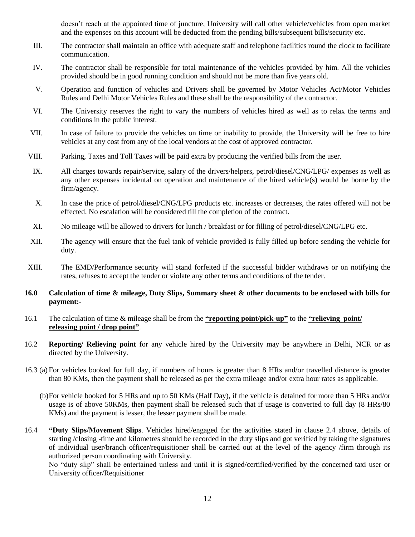doesn"t reach at the appointed time of juncture, University will call other vehicle/vehicles from open market and the expenses on this account will be deducted from the pending bills/subsequent bills/security etc.

- III. The contractor shall maintain an office with adequate staff and telephone facilities round the clock to facilitate communication.
- IV. The contractor shall be responsible for total maintenance of the vehicles provided by him. All the vehicles provided should be in good running condition and should not be more than five years old.
- V. Operation and function of vehicles and Drivers shall be governed by Motor Vehicles Act/Motor Vehicles Rules and Delhi Motor Vehicles Rules and these shall be the responsibility of the contractor.
- VI. The University reserves the right to vary the numbers of vehicles hired as well as to relax the terms and conditions in the public interest.
- VII. In case of failure to provide the vehicles on time or inability to provide, the University will be free to hire vehicles at any cost from any of the local vendors at the cost of approved contractor.
- VIII. Parking, Taxes and Toll Taxes will be paid extra by producing the verified bills from the user.
- IX. All charges towards repair/service, salary of the drivers/helpers, petrol/diesel/CNG/LPG/ expenses as well as any other expenses incidental on operation and maintenance of the hired vehicle(s) would be borne by the firm/agency.
- X. In case the price of petrol/diesel/CNG/LPG products etc. increases or decreases, the rates offered will not be effected. No escalation will be considered till the completion of the contract.
- XI. No mileage will be allowed to drivers for lunch / breakfast or for filling of petrol/diesel/CNG/LPG etc.
- XII. The agency will ensure that the fuel tank of vehicle provided is fully filled up before sending the vehicle for duty.
- XIII. The EMD/Performance security will stand forfeited if the successful bidder withdraws or on notifying the rates, refuses to accept the tender or violate any other terms and conditions of the tender.

### **16.0 Calculation of time & mileage, Duty Slips, Summary sheet & other documents to be enclosed with bills for payment:-**

- 16.1 The calculation of time & mileage shall be from the **"reporting point/pick-up"** to the **"relieving point/ releasing point / drop point"**.
- 16.2 **Reporting/ Relieving point** for any vehicle hired by the University may be anywhere in Delhi, NCR or as directed by the University.
- 16.3 (a) For vehicles booked for full day, if numbers of hours is greater than 8 HRs and/or travelled distance is greater than 80 KMs, then the payment shall be released as per the extra mileage and/or extra hour rates as applicable.
	- (b)For vehicle booked for 5 HRs and up to 50 KMs (Half Day), if the vehicle is detained for more than 5 HRs and/or usage is of above 50KMs, then payment shall be released such that if usage is converted to full day (8 HRs/80 KMs) and the payment is lesser, the lesser payment shall be made.
- 16.4 **"Duty Slips/Movement Slips**. Vehicles hired/engaged for the activities stated in clause 2.4 above, details of starting /closing -time and kilometres should be recorded in the duty slips and got verified by taking the signatures of individual user/branch officer/requisitioner shall be carried out at the level of the agency /firm through its authorized person coordinating with University.

No "duty slip" shall be entertained unless and until it is signed/certified/verified by the concerned taxi user or University officer/Requisitioner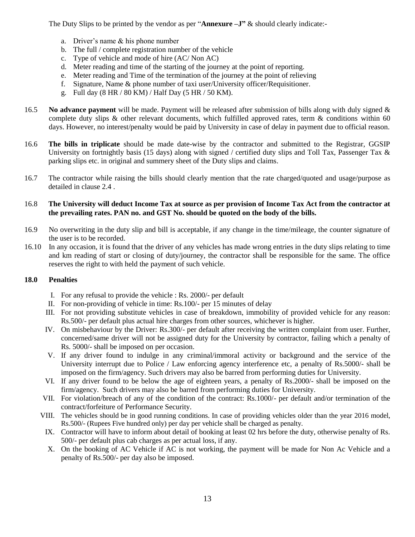The Duty Slips to be printed by the vendor as per "**Annexure –J"** & should clearly indicate:-

- a. Driver"s name & his phone number
- b. The full / complete registration number of the vehicle
- c. Type of vehicle and mode of hire (AC/ Non AC)
- d. Meter reading and time of the starting of the journey at the point of reporting.
- e. Meter reading and Time of the termination of the journey at the point of relieving
- f. Signature, Name & phone number of taxi user/University officer/Requisitioner.
- g. Full day (8 HR / 80 KM) / Half Day (5 HR / 50 KM).
- 16.5 **No advance payment** will be made. Payment will be released after submission of bills along with duly signed & complete duty slips & other relevant documents, which fulfilled approved rates, term & conditions within 60 days. However, no interest/penalty would be paid by University in case of delay in payment due to official reason.
- 16.6 **The bills in triplicate** should be made date-wise by the contractor and submitted to the Registrar, GGSIP University on fortnightly basis (15 days) along with signed / certified duty slips and Toll Tax, Passenger Tax & parking slips etc. in original and summery sheet of the Duty slips and claims.
- 16.7 The contractor while raising the bills should clearly mention that the rate charged/quoted and usage/purpose as detailed in clause 2.4 .

## 16.8 **The University will deduct Income Tax at source as per provision of Income Tax Act from the contractor at the prevailing rates. PAN no. and GST No. should be quoted on the body of the bills.**

- 16.9 No overwriting in the duty slip and bill is acceptable, if any change in the time/mileage, the counter signature of the user is to be recorded.
- 16.10 In any occasion, it is found that the driver of any vehicles has made wrong entries in the duty slips relating to time and km reading of start or closing of duty/journey, the contractor shall be responsible for the same. The office reserves the right to with held the payment of such vehicle.

### **18.0 Penalties**

- I. For any refusal to provide the vehicle : Rs. 2000/- per default
- II. For non-providing of vehicle in time: Rs.100/- per 15 minutes of delay
- III. For not providing substitute vehicles in case of breakdown, immobility of provided vehicle for any reason: Rs.500/- per default plus actual hire charges from other sources, whichever is higher.
- IV. On misbehaviour by the Driver: Rs.300/- per default after receiving the written complaint from user. Further, concerned/same driver will not be assigned duty for the University by contractor, failing which a penalty of Rs. 5000/- shall be imposed on per occasion.
- V. If any driver found to indulge in any criminal/immoral activity or background and the service of the University interrupt due to Police / Law enforcing agency interference etc, a penalty of Rs.5000/- shall be imposed on the firm/agency. Such drivers may also be barred from performing duties for University.
- VI. If any driver found to be below the age of eighteen years, a penalty of Rs.2000/- shall be imposed on the firm/agency. Such drivers may also be barred from performing duties for University.
- VII. For violation/breach of any of the condition of the contract: Rs.1000/- per default and/or termination of the contract/forfeiture of Performance Security.
- VIII. The vehicles should be in good running conditions. In case of providing vehicles older than the year 2016 model, Rs.500/- (Rupees Five hundred only) per day per vehicle shall be charged as penalty.
- IX. Contractor will have to inform about detail of booking at least 02 hrs before the duty, otherwise penalty of Rs. 500/- per default plus cab charges as per actual loss, if any.
- X. On the booking of AC Vehicle if AC is not working, the payment will be made for Non Ac Vehicle and a penalty of Rs.500/- per day also be imposed.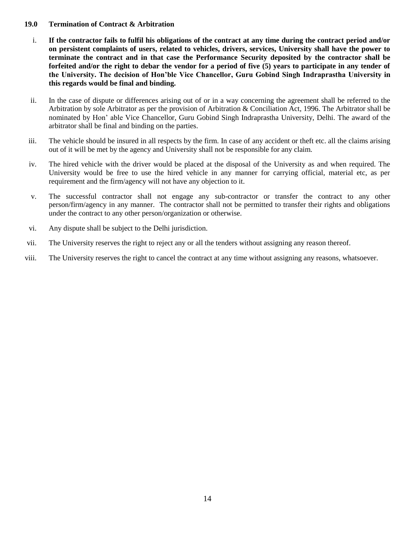### **19.0 Termination of Contract & Arbitration**

- i. **If the contractor fails to fulfil his obligations of the contract at any time during the contract period and/or on persistent complaints of users, related to vehicles, drivers, services, University shall have the power to terminate the contract and in that case the Performance Security deposited by the contractor shall be forfeited and/or the right to debar the vendor for a period of five (5) years to participate in any tender of the University. The decision of Hon'ble Vice Chancellor, Guru Gobind Singh Indraprastha University in this regards would be final and binding.**
- ii. In the case of dispute or differences arising out of or in a way concerning the agreement shall be referred to the Arbitration by sole Arbitrator as per the provision of Arbitration & Conciliation Act, 1996. The Arbitrator shall be nominated by Hon" able Vice Chancellor, Guru Gobind Singh Indraprastha University, Delhi. The award of the arbitrator shall be final and binding on the parties.
- iii. The vehicle should be insured in all respects by the firm. In case of any accident or theft etc. all the claims arising out of it will be met by the agency and University shall not be responsible for any claim.
- iv. The hired vehicle with the driver would be placed at the disposal of the University as and when required. The University would be free to use the hired vehicle in any manner for carrying official, material etc, as per requirement and the firm/agency will not have any objection to it.
- v. The successful contractor shall not engage any sub-contractor or transfer the contract to any other person/firm/agency in any manner. The contractor shall not be permitted to transfer their rights and obligations under the contract to any other person/organization or otherwise.
- vi. Any dispute shall be subject to the Delhi jurisdiction.
- vii. The University reserves the right to reject any or all the tenders without assigning any reason thereof.
- viii. The University reserves the right to cancel the contract at any time without assigning any reasons, whatsoever.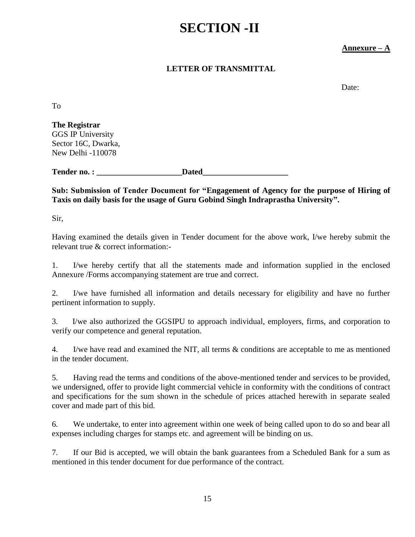# **SECTION -II**

# **Annexure – A**

# **LETTER OF TRANSMITTAL**

Date:

To

**The Registrar** GGS IP University Sector 16C, Dwarka, New Delhi -110078

Tender no. : **We Dated** 

**Sub: Submission of Tender Document for "Engagement of Agency for the purpose of Hiring of Taxis on daily basis for the usage of Guru Gobind Singh Indraprastha University".**

Sir,

Having examined the details given in Tender document for the above work, I/we hereby submit the relevant true & correct information:-

1. I/we hereby certify that all the statements made and information supplied in the enclosed Annexure /Forms accompanying statement are true and correct.

2. I/we have furnished all information and details necessary for eligibility and have no further pertinent information to supply.

3. I/we also authorized the GGSIPU to approach individual, employers, firms, and corporation to verify our competence and general reputation.

4. I/we have read and examined the NIT, all terms & conditions are acceptable to me as mentioned in the tender document.

5. Having read the terms and conditions of the above-mentioned tender and services to be provided, we undersigned, offer to provide light commercial vehicle in conformity with the conditions of contract and specifications for the sum shown in the schedule of prices attached herewith in separate sealed cover and made part of this bid.

6. We undertake, to enter into agreement within one week of being called upon to do so and bear all expenses including charges for stamps etc. and agreement will be binding on us.

7. If our Bid is accepted, we will obtain the bank guarantees from a Scheduled Bank for a sum as mentioned in this tender document for due performance of the contract.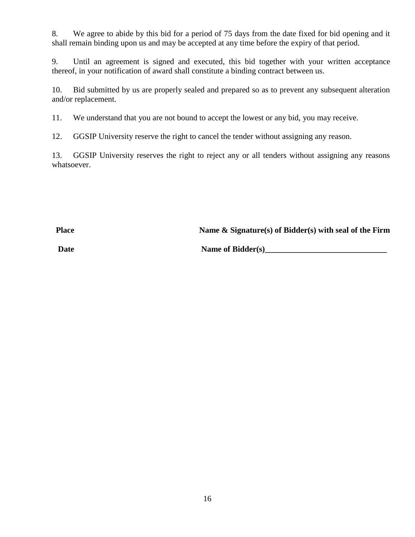8. We agree to abide by this bid for a period of 75 days from the date fixed for bid opening and it shall remain binding upon us and may be accepted at any time before the expiry of that period.

9. Until an agreement is signed and executed, this bid together with your written acceptance thereof, in your notification of award shall constitute a binding contract between us.

10. Bid submitted by us are properly sealed and prepared so as to prevent any subsequent alteration and/or replacement.

11. We understand that you are not bound to accept the lowest or any bid, you may receive.

12. GGSIP University reserve the right to cancel the tender without assigning any reason.

13. GGSIP University reserves the right to reject any or all tenders without assigning any reasons whatsoever.

**Place Name & Signature(s) of Bidder(s) with seal of the Firm**

Date Name of Bidder(s)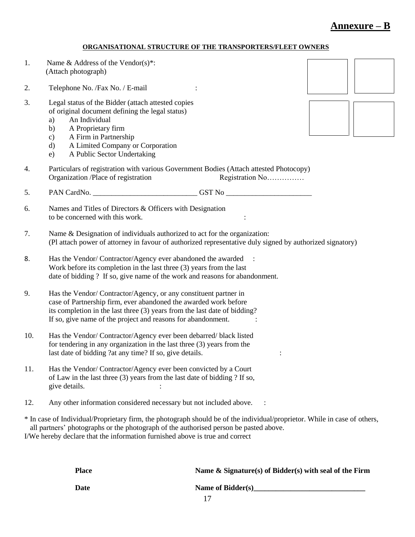# **Annexure – B**

# **ORGANISATIONAL STRUCTURE OF THE TRANSPORTERS/FLEET OWNERS**

| 1.  | Name & Address of the Vendor(s)*:<br>(Attach photograph)                                                                                                                                                                                                                                           |
|-----|----------------------------------------------------------------------------------------------------------------------------------------------------------------------------------------------------------------------------------------------------------------------------------------------------|
| 2.  | Telephone No. / Fax No. / E-mail                                                                                                                                                                                                                                                                   |
| 3.  | Legal status of the Bidder (attach attested copies<br>of original document defining the legal status)<br>An Individual<br>a)<br>A Proprietary firm<br>b)<br>A Firm in Partnership<br>$\mathbf{c})$<br>A Limited Company or Corporation<br>$\rm d)$<br>A Public Sector Undertaking<br>e)            |
| 4.  | Particulars of registration with various Government Bodies (Attach attested Photocopy)<br>Organization /Place of registration<br>Registration No                                                                                                                                                   |
| 5.  | PAN CardNo. _________________________________GST No _____________________________                                                                                                                                                                                                                  |
| 6.  | Names and Titles of Directors & Officers with Designation<br>to be concerned with this work.                                                                                                                                                                                                       |
| 7.  | Name & Designation of individuals authorized to act for the organization:<br>(Pl attach power of attorney in favour of authorized representative duly signed by authorized signatory)                                                                                                              |
| 8.  | Has the Vendor/Contractor/Agency ever abandoned the awarded<br>$\ddot{\phantom{1}}$<br>Work before its completion in the last three (3) years from the last<br>date of bidding ? If so, give name of the work and reasons for abandonment.                                                         |
| 9.  | Has the Vendor/Contractor/Agency, or any constituent partner in<br>case of Partnership firm, ever abandoned the awarded work before<br>its completion in the last three (3) years from the last date of bidding?<br>If so, give name of the project and reasons for abandonment.                   |
| 10. | Has the Vendor/Contractor/Agency ever been debarred/black listed<br>for tendering in any organization in the last three $(3)$ years from the<br>last date of bidding ?at any time? If so, give details.                                                                                            |
| 11. | Has the Vendor/Contractor/Agency ever been convicted by a Court<br>of Law in the last three (3) years from the last date of bidding ? If so,<br>give details.                                                                                                                                      |
| 12. | Any other information considered necessary but not included above.                                                                                                                                                                                                                                 |
|     | * In case of Individual/Proprietary firm, the photograph should be of the individual/proprietor. While in case of others,<br>all partners' photographs or the photograph of the authorised person be pasted above.<br>I/We hereby declare that the information furnished above is true and correct |

| <b>Place</b> | Name $\&$ Signature(s) of Bidder(s) with seal of the Firm |
|--------------|-----------------------------------------------------------|
| <b>Date</b>  | Name of Bidder(s)                                         |
|              |                                                           |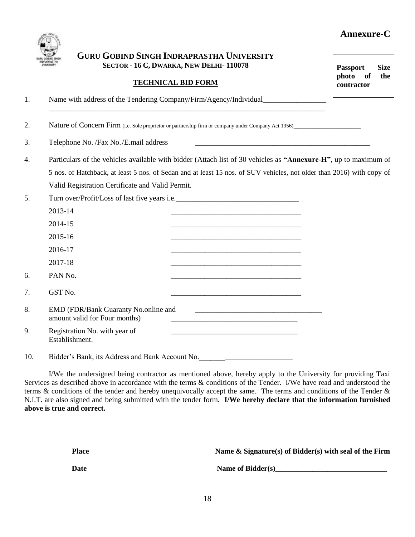# **Annexure-C**



# **GURU GOBIND SINGH INDRAPRASTHA UNIVERSITY SECTOR - 16 C, DWARKA, NEW DELHI- 110078**

\_\_\_\_\_\_\_\_\_\_\_\_\_\_\_\_\_\_\_\_\_\_\_\_\_\_\_\_\_\_\_\_\_\_\_\_\_\_\_\_\_\_\_\_\_\_\_\_\_\_\_\_\_\_\_\_\_\_\_\_\_\_\_\_\_\_\_\_\_\_\_\_\_\_

# **TECHNICAL BID FORM**

1. Name with address of the Tendering Company/Firm/Agency/Individual\_\_\_\_\_\_\_\_\_\_\_\_

2. Nature of Concern Firm (i.e. Sole proprietor or partnership firm or company under Company Act 1956)

3. Telephone No. /Fax No. /E.mail address

- 4. Particulars of the vehicles available with bidder (Attach list of 30 vehicles as **"Annexure-H"**, up to maximum of 5 nos. of Hatchback, at least 5 nos. of Sedan and at least 15 nos. of SUV vehicles, not older than 2016) with copy of Valid Registration Certificate and Valid Permit.
- 5. Turn over/Profit/Loss of last five years i.e.\_\_\_\_\_\_\_\_\_\_\_\_\_\_\_\_\_\_\_\_\_\_\_\_\_\_\_\_\_\_\_\_\_

|     | 2013-14                                                               |  |
|-----|-----------------------------------------------------------------------|--|
|     | 2014-15                                                               |  |
|     | 2015-16                                                               |  |
|     | 2016-17                                                               |  |
|     | 2017-18                                                               |  |
| б.  | PAN No.                                                               |  |
| 7.  | GST No.                                                               |  |
| 8.  | EMD (FDR/Bank Guaranty No.online and<br>amount valid for Four months) |  |
| 9.  | Registration No. with year of<br>Establishment.                       |  |
| 10. | Bidder's Bank, its Address and Bank Account No.                       |  |

I/We the undersigned being contractor as mentioned above, hereby apply to the University for providing Taxi Services as described above in accordance with the terms  $\&$  conditions of the Tender. I/We have read and understood the terms & conditions of the tender and hereby unequivocally accept the same. The terms and conditions of the Tender & N.I.T. are also signed and being submitted with the tender form. **I/We hereby declare that the information furnished above is true and correct.**

| Place | Name & Signature(s) of Bidder(s) with seal of the Firm |
|-------|--------------------------------------------------------|
| Date  | Name of Bidder(s)                                      |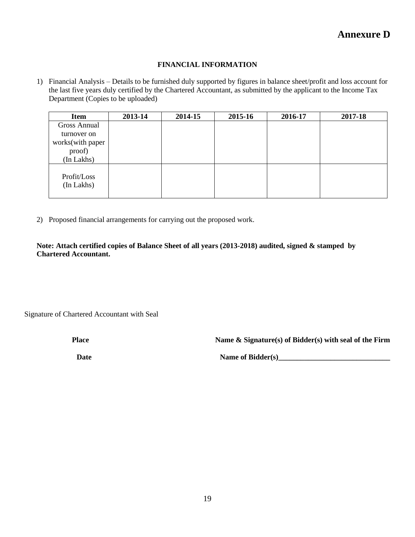## **FINANCIAL INFORMATION**

1) Financial Analysis – Details to be furnished duly supported by figures in balance sheet/profit and loss account for the last five years duly certified by the Chartered Accountant, as submitted by the applicant to the Income Tax Department (Copies to be uploaded)

| <b>Item</b>               | 2013-14 | 2014-15 | 2015-16 | 2016-17 | 2017-18 |
|---------------------------|---------|---------|---------|---------|---------|
| <b>Gross Annual</b>       |         |         |         |         |         |
| turnover on               |         |         |         |         |         |
| works(with paper          |         |         |         |         |         |
| proof)                    |         |         |         |         |         |
| (In Lakhs)                |         |         |         |         |         |
| Profit/Loss<br>(In Lakhs) |         |         |         |         |         |

2) Proposed financial arrangements for carrying out the proposed work.

**Note: Attach certified copies of Balance Sheet of all years (2013-2018) audited, signed & stamped by Chartered Accountant.**

Signature of Chartered Accountant with Seal

**Place Name & Signature(s) of Bidder(s) with seal of the Firm** 

**Date Name of Bidder(s)**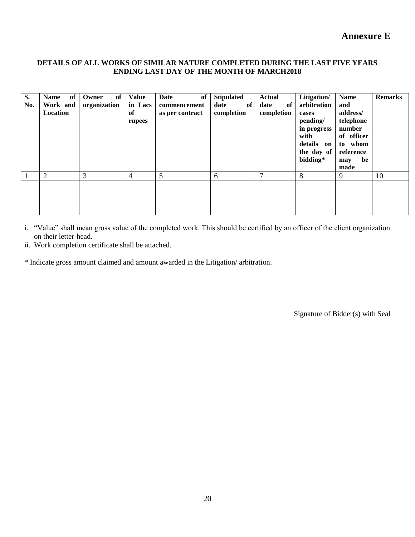# **Annexure E**

### **DETAILS OF ALL WORKS OF SIMILAR NATURE COMPLETED DURING THE LAST FIVE YEARS ENDING LAST DAY OF THE MONTH OF MARCH2018**

| S.<br>No. | of <sub>1</sub><br><b>Name</b><br>Work and<br>Location | of<br>Owner<br>organization | <b>Value</b><br>in Lacs<br>of<br>rupees | of<br>Date<br>commencement<br>as per contract | <b>Stipulated</b><br>date<br>of<br>completion | <b>Actual</b><br>of<br>date<br>completion | Litigation/<br>arbitration<br>cases<br>pending/<br>in progress<br>with<br>details on<br>the day of<br>bidding* | <b>Name</b><br>and<br>address/<br>telephone<br>number<br>of officer<br>to whom<br>reference<br>be<br>may<br>made | <b>Remarks</b> |
|-----------|--------------------------------------------------------|-----------------------------|-----------------------------------------|-----------------------------------------------|-----------------------------------------------|-------------------------------------------|----------------------------------------------------------------------------------------------------------------|------------------------------------------------------------------------------------------------------------------|----------------|
|           | 2                                                      | 3                           | 4                                       | 5                                             | 6                                             | 7                                         | 8                                                                                                              | 9                                                                                                                | 10             |
|           |                                                        |                             |                                         |                                               |                                               |                                           |                                                                                                                |                                                                                                                  |                |

i. "Value" shall mean gross value of the completed work. This should be certified by an officer of the client organization on their letter-head.

ii. Work completion certificate shall be attached.

\* Indicate gross amount claimed and amount awarded in the Litigation/ arbitration.

Signature of Bidder(s) with Seal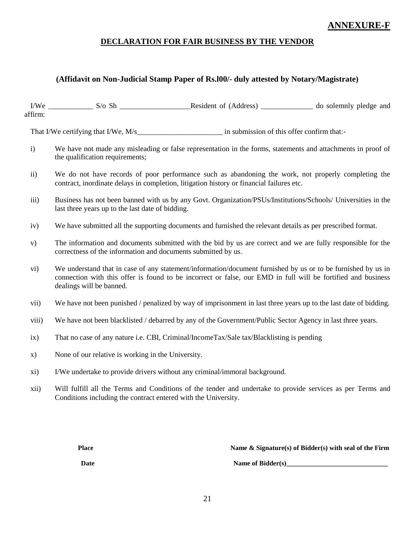# **ANNEXURE-F**

# **DECLARATION FOR FAIR BUSINESS BY THE VENDOR**

# **(Affidavit on Non-Judicial Stamp Paper of Rs.l00/- duly attested by Notary/Magistrate)**

I/We S/o Sh Resident of (Address) do solemnly pledge and affirm:

That I/We certifying that I/We, M/s in submission of this offer confirm that:-

- i) We have not made any misleading or false representation in the forms, statements and attachments in proof of the qualification requirements;
- ii) We do not have records of poor performance such as abandoning the work, not properly completing the contract, inordinate delays in completion, litigation history or financial failures etc.
- iii) Business has not been banned with us by any Govt. Organization/PSUs/Institutions/Schools/ Universities in the last three years up to the last date of bidding.
- iv) We have submitted all the supporting documents and furnished the relevant details as per prescribed format.
- v) The information and documents submitted with the bid by us are correct and we are fully responsible for the correctness of the information and documents submitted by us.
- vi) We understand that in case of any statement/information/document furnished by us or to be furnished by us in connection with this offer is found to be incorrect or false, our EMD in full will be fortified and business dealings will be banned.
- vii) We have not been punished / penalized by way of imprisonment in last three years up to the last date of bidding.
- viii) We have not been blacklisted / debarred by any of the Government/Public Sector Agency in last three years.
- ix) That no case of any nature i.e. CBI, Criminal/IncomeTax/Sale tax/Blacklisting is pending
- x) None of our relative is working in the University.
- xi) I/We undertake to provide drivers without any criminal/immoral background.
- xii) Will fulfill all the Terms and Conditions of the tender and undertake to provide services as per Terms and Conditions including the contract entered with the University.

**Place** Name & Signature(s) of Bidder(s) with seal of the Firm

**Date** Name of Bidder(s)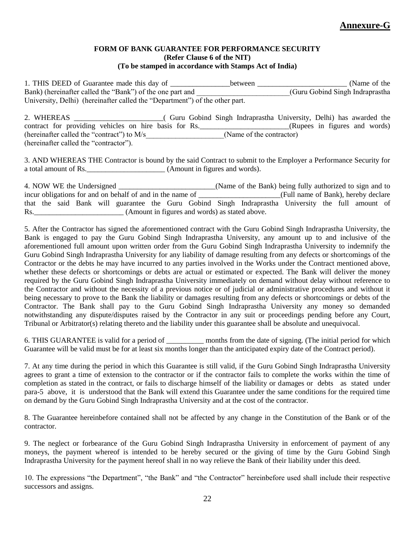## **FORM OF BANK GUARANTEE FOR PERFORMANCE SECURITY (Refer Clause 6 of the NIT) (To be stamped in accordance with Stamps Act of India)**

1. THIS DEED of Guarantee made this day of \_\_\_\_\_\_\_\_\_\_\_\_\_\_\_between \_\_\_\_\_\_\_\_\_\_\_\_\_\_\_\_\_\_\_\_\_\_\_\_\_\_\_\_ (Name of the Bank) (hereinafter called the "Bank") of the one part and (Guru Gobind Singh Indraprastha University, Delhi) (hereinafter called the "Department") of the other part.

2. WHEREAS \_\_\_\_\_\_\_\_\_\_\_\_\_\_\_\_\_\_\_\_\_\_\_\_( Guru Gobind Singh Indraprastha University, Delhi) has awarded the contract for providing vehicles on hire basis for Rs. \_\_\_\_\_\_\_\_\_\_\_\_\_\_\_\_\_\_\_\_\_\_\_\_(Rupees in figures and words) (hereinafter called the "contract") to  $M/s$  (Name of the contractor) (hereinafter called the "contractor").

3. AND WHEREAS THE Contractor is bound by the said Contract to submit to the Employer a Performance Security for a total amount of Rs. (Amount in figures and words).

4. NOW WE the Undersigned \_\_\_\_\_\_\_\_\_\_\_\_\_\_\_\_\_\_\_\_\_\_\_\_\_\_(Name of the Bank) being fully authorized to sign and to incur obligations for and on behalf of and in the name of \_\_\_\_\_\_\_\_\_\_\_\_\_\_\_\_\_\_\_\_\_(Full name of Bank), hereby declare that the said Bank will guarantee the Guru Gobind Singh Indraprastha University the full amount of Rs.\_\_\_\_\_\_\_\_\_\_\_\_\_\_\_\_\_\_\_\_\_\_\_\_ (Amount in figures and words) as stated above.

5. After the Contractor has signed the aforementioned contract with the Guru Gobind Singh Indraprastha University, the Bank is engaged to pay the Guru Gobind Singh Indraprastha University, any amount up to and inclusive of the aforementioned full amount upon written order from the Guru Gobind Singh Indraprastha University to indemnify the Guru Gobind Singh Indraprastha University for any liability of damage resulting from any defects or shortcomings of the Contractor or the debts he may have incurred to any parties involved in the Works under the Contract mentioned above, whether these defects or shortcomings or debts are actual or estimated or expected. The Bank will deliver the money required by the Guru Gobind Singh Indraprastha University immediately on demand without delay without reference to the Contractor and without the necessity of a previous notice or of judicial or administrative procedures and without it being necessary to prove to the Bank the liability or damages resulting from any defects or shortcomings or debts of the Contractor. The Bank shall pay to the Guru Gobind Singh Indraprastha University any money so demanded notwithstanding any dispute/disputes raised by the Contractor in any suit or proceedings pending before any Court, Tribunal or Arbitrator(s) relating thereto and the liability under this guarantee shall be absolute and unequivocal.

6. THIS GUARANTEE is valid for a period of \_\_\_\_\_\_\_\_\_\_ months from the date of signing. (The initial period for which Guarantee will be valid must be for at least six months longer than the anticipated expiry date of the Contract period).

7. At any time during the period in which this Guarantee is still valid, if the Guru Gobind Singh Indraprastha University agrees to grant a time of extension to the contractor or if the contractor fails to complete the works within the time of completion as stated in the contract, or fails to discharge himself of the liability or damages or debts as stated under para-5 above, it is understood that the Bank will extend this Guarantee under the same conditions for the required time on demand by the Guru Gobind Singh Indraprastha University and at the cost of the contractor.

8. The Guarantee hereinbefore contained shall not be affected by any change in the Constitution of the Bank or of the contractor.

9. The neglect or forbearance of the Guru Gobind Singh Indraprastha University in enforcement of payment of any moneys, the payment whereof is intended to be hereby secured or the giving of time by the Guru Gobind Singh Indraprastha University for the payment hereof shall in no way relieve the Bank of their liability under this deed.

10. The expressions "the Department", "the Bank" and "the Contractor" hereinbefore used shall include their respective successors and assigns.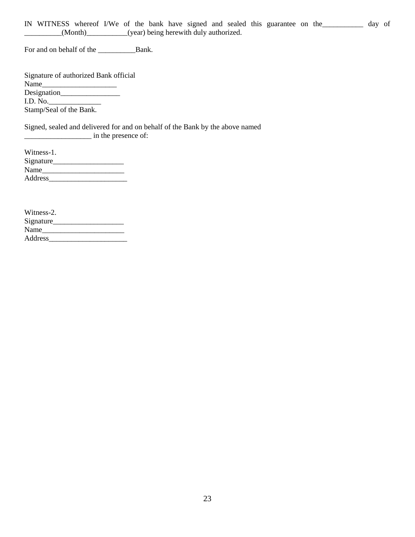IN WITNESS whereof I/We of the bank have signed and sealed this guarantee on the\_\_\_\_\_\_\_\_\_\_\_ day of \_\_\_\_\_\_\_\_\_\_(Month)\_\_\_\_\_\_\_\_\_\_\_(year) being herewith duly authorized.

For and on behalf of the \_\_\_\_\_\_\_\_\_\_Bank.

| Signature of authorized Bank official |  |
|---------------------------------------|--|
| Name                                  |  |
|                                       |  |
| I.D. No.                              |  |
| Stamp/Seal of the Bank.               |  |
|                                       |  |

Signed, sealed and delivered for and on behalf of the Bank by the above named \_\_\_\_\_\_\_\_\_\_\_\_\_\_\_\_\_\_ in the presence of:

| Witness-1. |  |
|------------|--|
| Signature  |  |
| Name       |  |
| Address    |  |

| Witness-2. |  |
|------------|--|
| Signature  |  |
| Name       |  |
| Address    |  |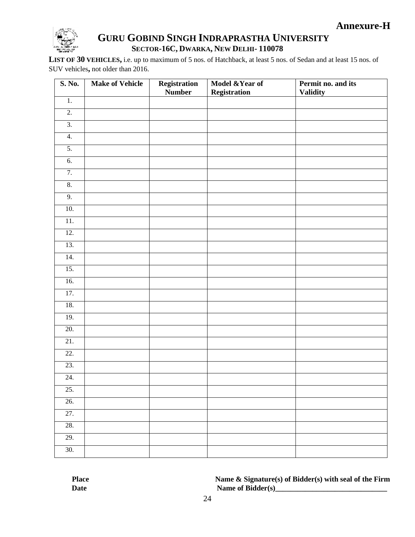

# **GURU GOBIND SINGH INDRAPRASTHA UNIVERSITY SECTOR-16C, DWARKA, NEW DELHI- 110078**

**LIST OF 30 VEHICLES,** i.e. up to maximum of 5 nos. of Hatchback, at least 5 nos. of Sedan and at least 15 nos. of SUV vehicles**,** not older than 2016.

| S. No.           | <b>Make of Vehicle</b> | Registration<br><b>Number</b> | Model & Year of<br><b>Registration</b> | Permit no. and its<br><b>Validity</b> |
|------------------|------------------------|-------------------------------|----------------------------------------|---------------------------------------|
| $\overline{1}$ . |                        |                               |                                        |                                       |
| $\overline{2}$ . |                        |                               |                                        |                                       |
| $\overline{3}$ . |                        |                               |                                        |                                       |
| $\overline{4}$ . |                        |                               |                                        |                                       |
| 5.               |                        |                               |                                        |                                       |
| $\overline{6}$ . |                        |                               |                                        |                                       |
| 7.               |                        |                               |                                        |                                       |
| 8.               |                        |                               |                                        |                                       |
| 9.               |                        |                               |                                        |                                       |
| 10.              |                        |                               |                                        |                                       |
| 11.              |                        |                               |                                        |                                       |
| 12.              |                        |                               |                                        |                                       |
| 13.              |                        |                               |                                        |                                       |
| 14.              |                        |                               |                                        |                                       |
| 15.              |                        |                               |                                        |                                       |
| 16.              |                        |                               |                                        |                                       |
| 17.              |                        |                               |                                        |                                       |
| 18.              |                        |                               |                                        |                                       |
| 19.              |                        |                               |                                        |                                       |
| 20.              |                        |                               |                                        |                                       |
| 21.              |                        |                               |                                        |                                       |
| 22.              |                        |                               |                                        |                                       |
| 23.              |                        |                               |                                        |                                       |
| 24.              |                        |                               |                                        |                                       |
| 25.              |                        |                               |                                        |                                       |
| 26.              |                        |                               |                                        |                                       |
| 27.              |                        |                               |                                        |                                       |
| 28.              |                        |                               |                                        |                                       |
| 29.              |                        |                               |                                        |                                       |
| 30.              |                        |                               |                                        |                                       |

**Place Name & Signature(s) of Bidder(s) with seal of the Firm Date** Name of Bidder(s)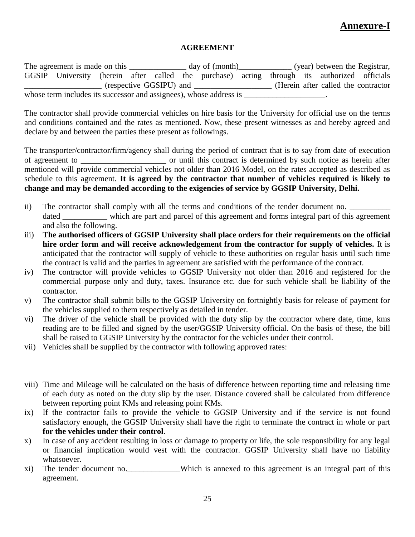# **Annexure-I**

# **AGREEMENT**

The agreement is made on this \_\_\_\_\_\_\_\_\_\_\_\_\_ day of (month)\_\_\_\_\_\_\_\_\_\_\_\_ (year) between the Registrar, GGSIP University (herein after called the purchase) acting through its authorized officials \_\_\_\_\_\_\_\_\_\_\_\_\_\_\_\_\_\_\_ (respective GGSIPU) and \_\_\_\_\_\_\_\_\_\_\_\_\_\_\_\_\_\_\_ (Herein after called the contractor whose term includes its successor and assignees), whose address is  $\Box$ 

The contractor shall provide commercial vehicles on hire basis for the University for official use on the terms and conditions contained and the rates as mentioned. Now, these present witnesses as and hereby agreed and declare by and between the parties these present as followings.

The transporter/contractor/firm/agency shall during the period of contract that is to say from date of execution of agreement to \_\_\_\_\_\_\_\_\_\_\_\_\_\_\_\_\_\_\_\_\_ or until this contract is determined by such notice as herein after mentioned will provide commercial vehicles not older than 2016 Model, on the rates accepted as described as schedule to this agreement. **It is agreed by the contractor that number of vehicles required is likely to change and may be demanded according to the exigencies of service by GGSIP University, Delhi.**

- ii) The contractor shall comply with all the terms and conditions of the tender document no. dated \_\_\_\_\_\_\_\_\_ which are part and parcel of this agreement and forms integral part of this agreement and also the following.
- iii) **The authorised officers of GGSIP University shall place orders for their requirements on the official hire order form and will receive acknowledgement from the contractor for supply of vehicles.** It is anticipated that the contractor will supply of vehicle to these authorities on regular basis until such time the contract is valid and the parties in agreement are satisfied with the performance of the contract.
- iv) The contractor will provide vehicles to GGSIP University not older than 2016 and registered for the commercial purpose only and duty, taxes. Insurance etc. due for such vehicle shall be liability of the contractor.
- v) The contractor shall submit bills to the GGSIP University on fortnightly basis for release of payment for the vehicles supplied to them respectively as detailed in tender.
- vi) The driver of the vehicle shall be provided with the duty slip by the contractor where date, time, kms reading are to be filled and signed by the user/GGSIP University official. On the basis of these, the bill shall be raised to GGSIP University by the contractor for the vehicles under their control.
- vii) Vehicles shall be supplied by the contractor with following approved rates:
- viii) Time and Mileage will be calculated on the basis of difference between reporting time and releasing time of each duty as noted on the duty slip by the user. Distance covered shall be calculated from difference between reporting point KMs and releasing point KMs.
- ix) If the contractor fails to provide the vehicle to GGSIP University and if the service is not found satisfactory enough, the GGSIP University shall have the right to terminate the contract in whole or part **for the vehicles under their control**.
- x) In case of any accident resulting in loss or damage to property or life, the sole responsibility for any legal or financial implication would vest with the contractor. GGSIP University shall have no liability whatsoever.
- xi) The tender document no. Which is annexed to this agreement is an integral part of this agreement.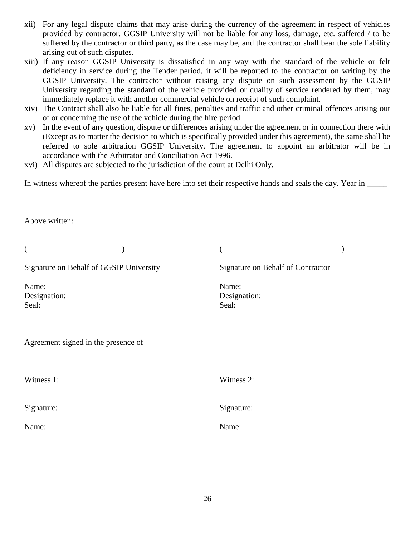- xii) For any legal dispute claims that may arise during the currency of the agreement in respect of vehicles provided by contractor. GGSIP University will not be liable for any loss, damage, etc. suffered / to be suffered by the contractor or third party, as the case may be, and the contractor shall bear the sole liability arising out of such disputes.
- xiii) If any reason GGSIP University is dissatisfied in any way with the standard of the vehicle or felt deficiency in service during the Tender period, it will be reported to the contractor on writing by the GGSIP University. The contractor without raising any dispute on such assessment by the GGSIP University regarding the standard of the vehicle provided or quality of service rendered by them, may immediately replace it with another commercial vehicle on receipt of such complaint.
- xiv) The Contract shall also be liable for all fines, penalties and traffic and other criminal offences arising out of or concerning the use of the vehicle during the hire period.
- xv) In the event of any question, dispute or differences arising under the agreement or in connection there with (Except as to matter the decision to which is specifically provided under this agreement), the same shall be referred to sole arbitration GGSIP University. The agreement to appoint an arbitrator will be in accordance with the Arbitrator and Conciliation Act 1996.
- xvi) All disputes are subjected to the jurisdiction of the court at Delhi Only.

In witness whereof the parties present have here into set their respective hands and seals the day. Year in \_\_\_\_\_

Above written:

| $\overline{\mathcal{L}}$                |                                   |  |
|-----------------------------------------|-----------------------------------|--|
| Signature on Behalf of GGSIP University | Signature on Behalf of Contractor |  |
| Name:<br>Designation:<br>Seal:          | Name:<br>Designation:<br>Seal:    |  |
| Agreement signed in the presence of     |                                   |  |
| Witness 1:                              | Witness 2:                        |  |
| Signature:                              | Signature:                        |  |
| Name:                                   | Name:                             |  |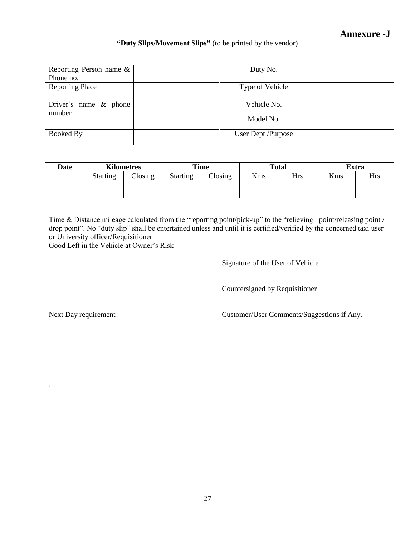# **Annexure -J**

# **"Duty Slips/Movement Slips"** (to be printed by the vendor)

| Reporting Person name &<br>Phone no. | Duty No.           |
|--------------------------------------|--------------------|
| <b>Reporting Place</b>               | Type of Vehicle    |
| Driver's name $\&$ phone<br>number   | Vehicle No.        |
|                                      | Model No.          |
| Booked By                            | User Dept /Purpose |

| <b>Date</b> | <b>Kilometres</b> |               | Time            |                 |     | <b>Total</b> |     | <b>Extra</b> |
|-------------|-------------------|---------------|-----------------|-----------------|-----|--------------|-----|--------------|
|             | <b>Starting</b>   | $\frac{1}{2}$ | <b>Starting</b> | $\bigcap$ osing | Kms | <b>Hrs</b>   | Kms | Hrs          |
|             |                   |               |                 |                 |     |              |     |              |
|             |                   |               |                 |                 |     |              |     |              |

Time & Distance mileage calculated from the "reporting point/pick-up" to the "relieving point/releasing point / drop point". No "duty slip" shall be entertained unless and until it is certified/verified by the concerned taxi user or University officer/Requisitioner

Good Left in the Vehicle at Owner"s Risk

Signature of the User of Vehicle

Countersigned by Requisitioner

.

Next Day requirement Customer/User Comments/Suggestions if Any.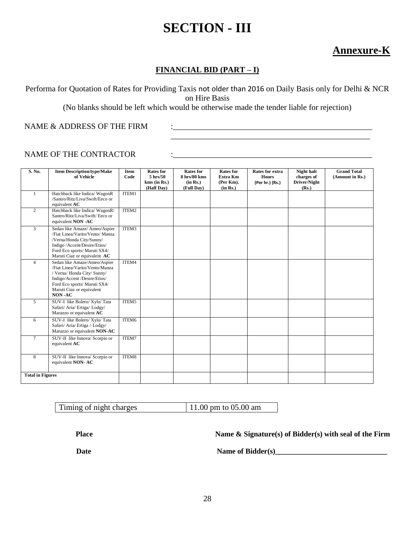# **SECTION - III**

# **Annexure-K**

# **FINANCIAL BID (PART – I)**

Performa for Quotation of Rates for Providing Taxis not older than 2016 on Daily Basis only for Delhi & NCR on Hire Basis

(No blanks should be left which would be otherwise made the tender liable for rejection)

\_\_\_\_\_\_\_\_\_\_\_\_\_\_\_\_\_\_\_\_\_\_\_\_\_\_\_\_\_\_\_\_\_\_\_\_\_\_\_\_\_\_\_\_\_\_\_\_\_

NAME & ADDRESS OF THE FIRM  $\qquad \qquad : \qquad$ 

# NAME OF THE CONTRACTOR  $\qquad \qquad :$

| S. No.                  | <b>Item Description/type/Make</b><br>of Vehicle                                                                                                                                                      | Item<br>Code | <b>Rates for</b><br>$5 \text{ hrs}/50$<br>$kms$ (in Rs.)<br>(Half Day) | <b>Rates for</b><br>8 hrs/80 kms<br>(in Rs.)<br>(Full Day) | <b>Rates for</b><br>Extra Km<br>(Per Km).<br>(in Rs.) | <b>Rates for extra</b><br><b>Hours</b><br>(Per hr.) (Rs.) | <b>Night halt</b><br>charges of<br>Driver/Night<br>(Rs.) | <b>Grand Total</b><br>(Amount in Rs.) |
|-------------------------|------------------------------------------------------------------------------------------------------------------------------------------------------------------------------------------------------|--------------|------------------------------------------------------------------------|------------------------------------------------------------|-------------------------------------------------------|-----------------------------------------------------------|----------------------------------------------------------|---------------------------------------|
| 1                       | Hatchback like Indica/ WagonR<br>/Santro/Ritz/Liva/Swift/Eeco or<br>equivalent AC                                                                                                                    | ITEM1        |                                                                        |                                                            |                                                       |                                                           |                                                          |                                       |
| $\overline{2}$          | Hatchback like Indica/ WagonR/<br>Santro/Ritz/Liva/Swift/ Eeco or<br>equivalent NON -AC                                                                                                              | ITEM2        |                                                                        |                                                            |                                                       |                                                           |                                                          |                                       |
| $\mathfrak{Z}$          | Sedan like Amaze/ Ameo/Aspire<br>/Fiat Linea/Varito/Vento/ Manza<br>/Verna/Honda City/Sunny/<br>Indigo /Accent/Desire/Etios/<br>Ford Eco sports/ Maruti SX4/<br>Maruti Ciaz or equivalent AC         | ITEM3        |                                                                        |                                                            |                                                       |                                                           |                                                          |                                       |
| $\overline{4}$          | Sedan like Amaze/Ameo/Aspire<br>/Fiat Linea/Varito/Vento/Manza<br>/ Verna/ Honda City/ Sunny/<br>Indigo/Accent /Desire/Etios/<br>Ford Eco sports/ Maruti SX4/<br>Maruti Ciaz or equivalent<br>NON-AC | ITEM4        |                                                                        |                                                            |                                                       |                                                           |                                                          |                                       |
| $\mathfrak{F}$          | SUV-I like Bolero/ Xylo/ Tata<br>Safari/ Aria/ Ertiga/ Lodgy/<br>Marazzo or equivalent AC                                                                                                            | ITEM5        |                                                                        |                                                            |                                                       |                                                           |                                                          |                                       |
| 6                       | SUV-I like Bolero/ Xylo/ Tata<br>Safari/ Aria/ Ertiga / Lodgy/<br>Marazzo or equivalent NON-AC                                                                                                       | ITEM6        |                                                                        |                                                            |                                                       |                                                           |                                                          |                                       |
| $7\phantom{.0}$         | SUV-II like Innova/ Scorpio or<br>equivalent AC                                                                                                                                                      | ITEM7        |                                                                        |                                                            |                                                       |                                                           |                                                          |                                       |
| 8                       | SUV-II like Innova/ Scorpio or<br>equivalent NON-AC                                                                                                                                                  | ITEM8        |                                                                        |                                                            |                                                       |                                                           |                                                          |                                       |
| <b>Total in Figures</b> |                                                                                                                                                                                                      |              |                                                                        |                                                            |                                                       |                                                           |                                                          |                                       |

| Timing of night charges | 11.00 pm to $05.00$ am |
|-------------------------|------------------------|

**Place Name & Signature(s) of Bidder(s) with seal of the Firm** 

Date Name of Bidder(s)